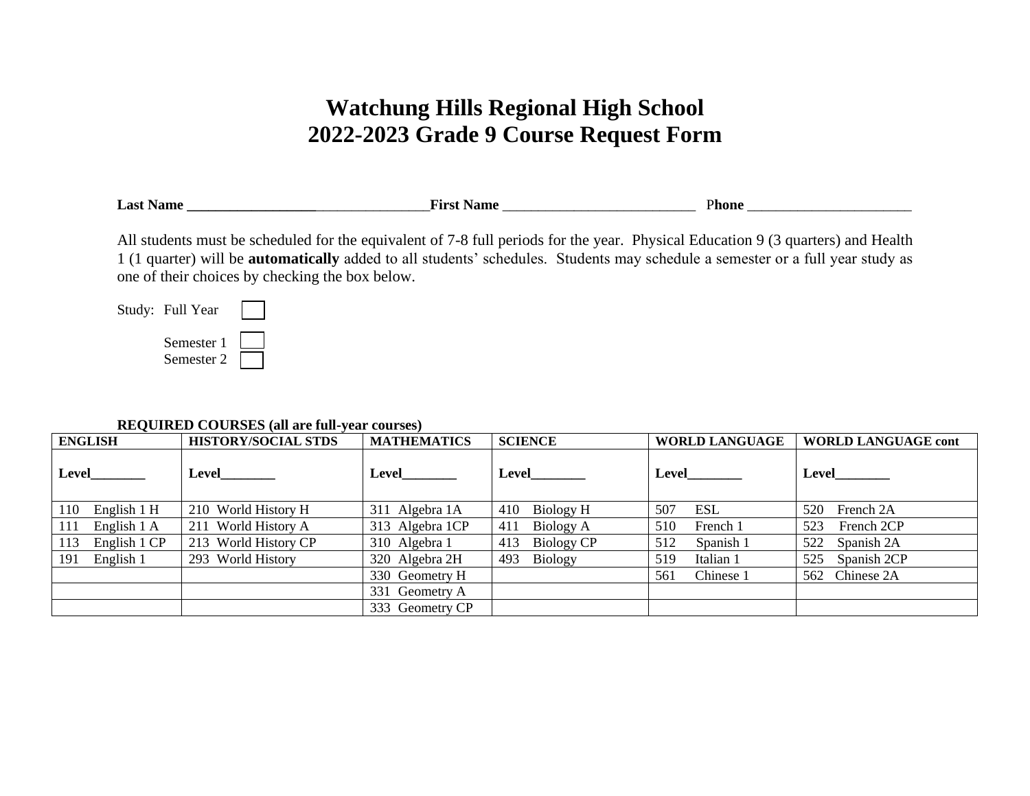## **Watchung Hills Regional High School 2022-2023 Grade 9 Course Request Form**

| $\overline{\phantom{0}}$<br>La <sup>c</sup><br>. | . .<br> |
|--------------------------------------------------|---------|
|                                                  |         |

All students must be scheduled for the equivalent of 7-8 full periods for the year. Physical Education 9 (3 quarters) and Health 1 (1 quarter) will be **automatically** added to all students' schedules. Students may schedule a semester or a full year study as one of their choices by checking the box below.

Study: Full Year



## **REQUIRED COURSES (all are full-year courses)**

| <b>ENGLISH</b>      | <b>HISTORY/SOCIAL STDS</b> | <b>MATHEMATICS</b> | <b>SCIENCE</b>        | <b>WORLD LANGUAGE</b> | <b>WORLD LANGUAGE cont</b> |
|---------------------|----------------------------|--------------------|-----------------------|-----------------------|----------------------------|
| Level               |                            |                    | <b>Level</b>          | Level                 | Level                      |
| English 1 H<br>110  | 210 World History H        | 311 Algebra 1A     | Biology H<br>410      | ESL<br>507            | 520 French 2A              |
| English 1 A<br>111  | 211 World History A        | 313 Algebra 1CP    | Biology A<br>411      | 510<br>French 1       | 523 French 2CP             |
| English 1 CP<br>113 | 213 World History CP       | 310 Algebra 1      | Biology CP<br>413     | Spanish 1<br>512      | 522 Spanish 2A             |
| English 1<br>191    | 293 World History          | 320 Algebra 2H     | <b>Biology</b><br>493 | 519<br>Italian 1      | 525 Spanish 2CP            |
|                     |                            | 330 Geometry H     |                       | Chinese 1<br>561      | 562 Chinese 2A             |
|                     |                            | 331 Geometry A     |                       |                       |                            |
|                     |                            | 333 Geometry CP    |                       |                       |                            |